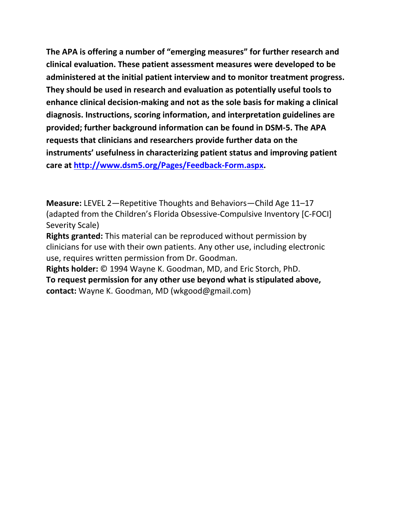**The APA is offering a number of "emerging measures" for further research and clinical evaluation. These patient assessment measures were developed to be administered at the initial patient interview and to monitor treatment progress. They should be used in research and evaluation as potentially useful tools to enhance clinical decision-making and not as the sole basis for making a clinical diagnosis. Instructions, scoring information, and interpretation guidelines are provided; further background information can be found in DSM-5. The APA requests that clinicians and researchers provide further data on the instruments' usefulness in characterizing patient status and improving patient care at [http://www.dsm5.org/Pages/Feedback-Form.aspx.](http://www.dsm5.org/Pages/Feedback-Form.aspx)**

**Measure:** LEVEL 2—Repetitive Thoughts and Behaviors—Child Age 11–17 (adapted from the Children's Florida Obsessive-Compulsive Inventory [C-FOCI] Severity Scale)

**Rights granted:** This material can be reproduced without permission by clinicians for use with their own patients. Any other use, including electronic use, requires written permission from Dr. Goodman.

**Rights holder:** © 1994 Wayne K. Goodman, MD, and Eric Storch, PhD. **To request permission for any other use beyond what is stipulated above, contact:** Wayne K. Goodman, MD (wkgood@gmail.com)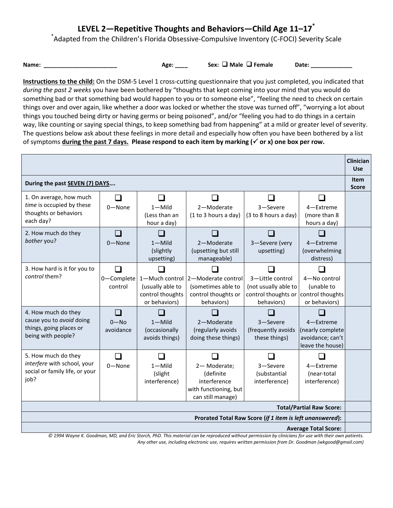## **LEVEL 2—Repetitive Thoughts and Behaviors—Child Age 11–17\***

\* Adapted from the Children's Florida Obsessive-Compulsive Inventory (C-FOCI) Severity Scale

**Name: \_\_\_\_\_\_\_\_\_\_\_\_\_\_\_\_\_\_\_\_\_\_\_\_\_\_\_** Age: \_\_\_\_ Sex: □ Male □ Female Date: \_\_\_\_\_\_\_\_\_\_\_\_

**Instructions to the child:** On the DSM-5 Level 1 cross-cutting questionnaire that you just completed, you indicated that *during the past 2 weeks* you have been bothered by "thoughts that kept coming into your mind that you would do something bad or that something bad would happen to you or to someone else", "feeling the need to check on certain things over and over again, like whether a door was locked or whether the stove was turned off", "worrying a lot about things you touched being dirty or having germs or being poisoned", and/or "feeling you had to do things in a certain way, like counting or saying special things, to keep something bad from happening" at a mild or greater level of severity. The questions below ask about these feelings in more detail and especially how often you have been bothered by a list of symptoms **during the past 7 days. Please respond to each item by marking ( or x) one box per row.** 

|                                                                                                                                                                                                                                                 |                                         |                                                                         |                                                                                        |                                                                               |                                                                       | <b>Clinician</b><br><b>Use</b> |
|-------------------------------------------------------------------------------------------------------------------------------------------------------------------------------------------------------------------------------------------------|-----------------------------------------|-------------------------------------------------------------------------|----------------------------------------------------------------------------------------|-------------------------------------------------------------------------------|-----------------------------------------------------------------------|--------------------------------|
| During the past SEVEN (7) DAYS                                                                                                                                                                                                                  |                                         |                                                                         |                                                                                        |                                                                               |                                                                       | <b>Item</b><br><b>Score</b>    |
| 1. On average, how much<br>time is occupied by these<br>thoughts or behaviors<br>each day?                                                                                                                                                      | $0 - None$                              | $1 -$ Mild<br>(Less than an<br>hour a day)                              | 2-Moderate<br>(1 to 3 hours a day)                                                     | 3-Severe<br>(3 to 8 hours a day)                                              | l. I<br>4-Extreme<br>(more than 8<br>hours a day)                     |                                |
| 2. How much do they<br>bother you?                                                                                                                                                                                                              | m.<br>$0 - None$                        | m.<br>$1 -$ Mild<br>(slightly<br>upsetting)                             | ×.<br>2-Moderate<br>(upsetting but still<br>manageable)                                | 3-Severe (very<br>upsetting)                                                  | $\overline{\phantom{a}}$<br>4-Extreme<br>(overwhelming<br>distress)   |                                |
| 3. How hard is it for you to<br>control them?                                                                                                                                                                                                   | $\sim$<br>0-Complete<br>control         | 1-Much control<br>(usually able to<br>control thoughts<br>or behaviors) | 2-Moderate control<br>(sometimes able to<br>control thoughts or<br>behaviors)          | 3-Little control<br>(not usually able to<br>control thoughts or<br>behaviors) | 4-No control<br>(unable to<br>control thoughts<br>or behaviors)       |                                |
| 4. How much do they<br>cause you to avoid doing<br>things, going places or<br>being with people?                                                                                                                                                | $\blacksquare$<br>$0 - No$<br>avoidance | $1 -$ Mild<br>(occasionally<br>avoids things)                           | 2-Moderate<br>(regularly avoids<br>doing these things)                                 | 3-Severe<br>(frequently avoids<br>these things)                               | 4-Extreme<br>(nearly complete<br>avoidance; can't<br>leave the house) |                                |
| 5. How much do they<br>interfere with school, your<br>social or family life, or your<br>job?                                                                                                                                                    | $0 - None$                              | $1 -$ Mild<br>(slight<br>interference)                                  | 2-Moderate;<br>(definite<br>interference<br>with functioning, but<br>can still manage) | 3-Severe<br>(substantial<br>interference)                                     | 4-Extreme<br>(near-total<br>interference)                             |                                |
| <b>Total/Partial Raw Score:</b>                                                                                                                                                                                                                 |                                         |                                                                         |                                                                                        |                                                                               |                                                                       |                                |
| Prorated Total Raw Score (if 1 item is left unanswered):<br><b>Average Total Score:</b><br>© 1994 Wayne K. Goodman, MD, and Eric Storch, PhD. This material can be reproduced without permission by clinicians for use with their own patients. |                                         |                                                                         |                                                                                        |                                                                               |                                                                       |                                |

*Any other use, including electronic use, requires written permission from Dr. Goodman (wkgood@gmail.com)*